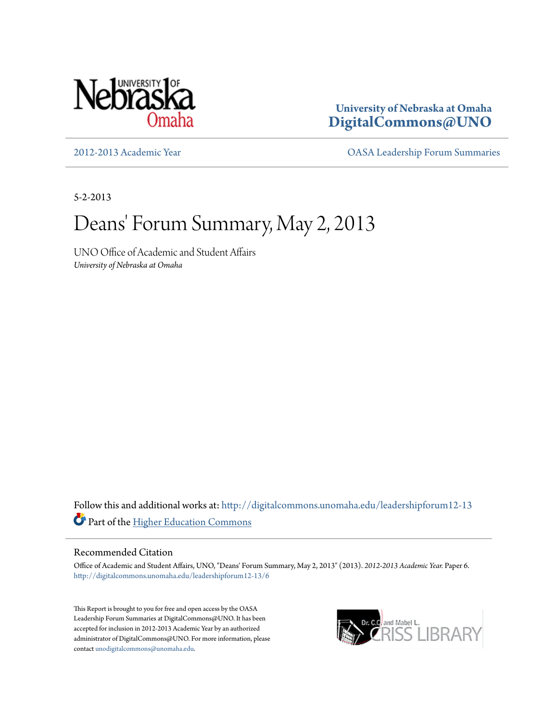

**University of Nebraska at Omaha [DigitalCommons@UNO](http://digitalcommons.unomaha.edu?utm_source=digitalcommons.unomaha.edu%2Fleadershipforum12-13%2F6&utm_medium=PDF&utm_campaign=PDFCoverPages)**

[2012-2013 Academic Year](http://digitalcommons.unomaha.edu/leadershipforum12-13?utm_source=digitalcommons.unomaha.edu%2Fleadershipforum12-13%2F6&utm_medium=PDF&utm_campaign=PDFCoverPages) [OASA Leadership Forum Summaries](http://digitalcommons.unomaha.edu/oasaleadershipforum?utm_source=digitalcommons.unomaha.edu%2Fleadershipforum12-13%2F6&utm_medium=PDF&utm_campaign=PDFCoverPages)

5-2-2013

## Deans' Forum Summary, May 2, 2013

UNO Office of Academic and Student Affairs *University of Nebraska at Omaha*

Follow this and additional works at: [http://digitalcommons.unomaha.edu/leadershipforum12-13](http://digitalcommons.unomaha.edu/leadershipforum12-13?utm_source=digitalcommons.unomaha.edu%2Fleadershipforum12-13%2F6&utm_medium=PDF&utm_campaign=PDFCoverPages) Part of the [Higher Education Commons](http://network.bepress.com/hgg/discipline/1245?utm_source=digitalcommons.unomaha.edu%2Fleadershipforum12-13%2F6&utm_medium=PDF&utm_campaign=PDFCoverPages)

## Recommended Citation

Office of Academic and Student Affairs, UNO, "Deans' Forum Summary, May 2, 2013" (2013). *2012-2013 Academic Year.* Paper 6. [http://digitalcommons.unomaha.edu/leadershipforum12-13/6](http://digitalcommons.unomaha.edu/leadershipforum12-13/6?utm_source=digitalcommons.unomaha.edu%2Fleadershipforum12-13%2F6&utm_medium=PDF&utm_campaign=PDFCoverPages)

This Report is brought to you for free and open access by the OASA Leadership Forum Summaries at DigitalCommons@UNO. It has been accepted for inclusion in 2012-2013 Academic Year by an authorized administrator of DigitalCommons@UNO. For more information, please contact [unodigitalcommons@unomaha.edu.](mailto:unodigitalcommons@unomaha.edu)

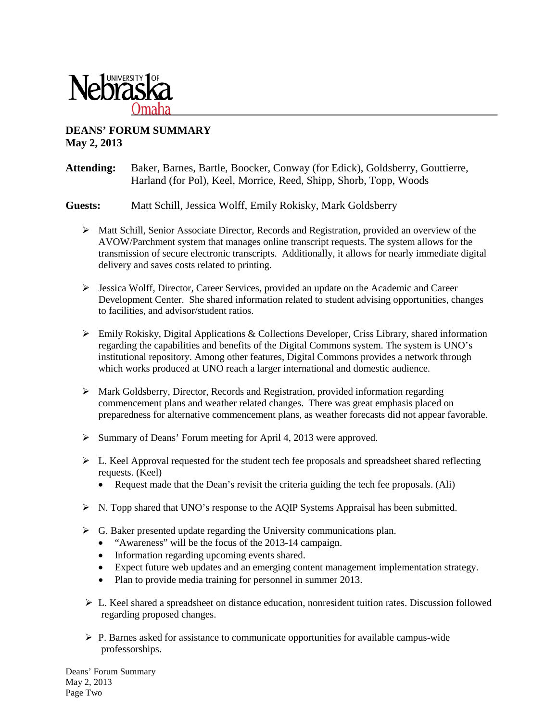

## **DEANS' FORUM SUMMARY May 2, 2013**

## **Attending:** Baker, Barnes, Bartle, Boocker, Conway (for Edick), Goldsberry, Gouttierre, Harland (for Pol), Keel, Morrice, Reed, Shipp, Shorb, Topp, Woods

**Guests:** Matt Schill, Jessica Wolff, Emily Rokisky, Mark Goldsberry

- $\triangleright$  Matt Schill, Senior Associate Director, Records and Registration, provided an overview of the AVOW/Parchment system that manages online transcript requests. The system allows for the transmission of secure electronic transcripts. Additionally, it allows for nearly immediate digital delivery and saves costs related to printing.
- $\triangleright$  Jessica Wolff, Director, Career Services, provided an update on the Academic and Career Development Center. She shared information related to student advising opportunities, changes to facilities, and advisor/student ratios.
- $\triangleright$  Emily Rokisky, Digital Applications & Collections Developer, Criss Library, shared information regarding the capabilities and benefits of the Digital Commons system. The system is UNO's institutional repository. Among other features, Digital Commons provides a network through which works produced at UNO reach a larger international and domestic audience.
- $\triangleright$  Mark Goldsberry, Director, Records and Registration, provided information regarding commencement plans and weather related changes. There was great emphasis placed on preparedness for alternative commencement plans, as weather forecasts did not appear favorable.
- $\triangleright$  Summary of Deans' Forum meeting for April 4, 2013 were approved.
- $\triangleright$  L. Keel Approval requested for the student tech fee proposals and spreadsheet shared reflecting requests. (Keel)
	- Request made that the Dean's revisit the criteria guiding the tech fee proposals. (Ali)
- $\triangleright$  N. Topp shared that UNO's response to the AOIP Systems Appraisal has been submitted.
- $\triangleright$  G. Baker presented update regarding the University communications plan.
	- "Awareness" will be the focus of the 2013-14 campaign.
	- Information regarding upcoming events shared.
	- Expect future web updates and an emerging content management implementation strategy.
	- Plan to provide media training for personnel in summer 2013.
- $\triangleright$  L. Keel shared a spreadsheet on distance education, nonresident tuition rates. Discussion followed regarding proposed changes.
- $\triangleright$  P. Barnes asked for assistance to communicate opportunities for available campus-wide professorships.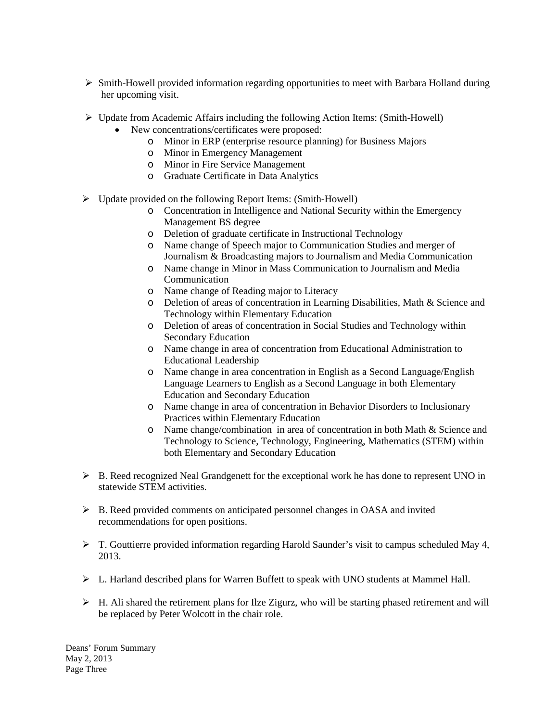- $\triangleright$  Smith-Howell provided information regarding opportunities to meet with Barbara Holland during her upcoming visit.
- $\triangleright$  Update from Academic Affairs including the following Action Items: (Smith-Howell)
	- New concentrations/certificates were proposed:
		- o Minor in ERP (enterprise resource planning) for Business Majors
		- o Minor in Emergency Management
		- o Minor in Fire Service Management
		- o Graduate Certificate in Data Analytics
- $\triangleright$  Update provided on the following Report Items: (Smith-Howell)
	- o Concentration in Intelligence and National Security within the Emergency Management BS degree
	- o Deletion of graduate certificate in Instructional Technology
	- o Name change of Speech major to Communication Studies and merger of Journalism & Broadcasting majors to Journalism and Media Communication
	- o Name change in Minor in Mass Communication to Journalism and Media Communication
	- o Name change of Reading major to Literacy
	- o Deletion of areas of concentration in Learning Disabilities, Math & Science and Technology within Elementary Education
	- o Deletion of areas of concentration in Social Studies and Technology within Secondary Education
	- o Name change in area of concentration from Educational Administration to Educational Leadership
	- o Name change in area concentration in English as a Second Language/English Language Learners to English as a Second Language in both Elementary Education and Secondary Education
	- o Name change in area of concentration in Behavior Disorders to Inclusionary Practices within Elementary Education
	- o Name change/combination in area of concentration in both Math & Science and Technology to Science, Technology, Engineering, Mathematics (STEM) within both Elementary and Secondary Education
- $\triangleright$  B. Reed recognized Neal Grandgenett for the exceptional work he has done to represent UNO in statewide STEM activities.
- $\triangleright$  B. Reed provided comments on anticipated personnel changes in OASA and invited recommendations for open positions.
- $\triangleright$  T. Gouttierre provided information regarding Harold Saunder's visit to campus scheduled May 4, 2013.
- $\triangleright$  L. Harland described plans for Warren Buffett to speak with UNO students at Mammel Hall.
- $\triangleright$  H. Ali shared the retirement plans for Ilze Zigurz, who will be starting phased retirement and will be replaced by Peter Wolcott in the chair role.

Deans' Forum Summary May 2, 2013 Page Three